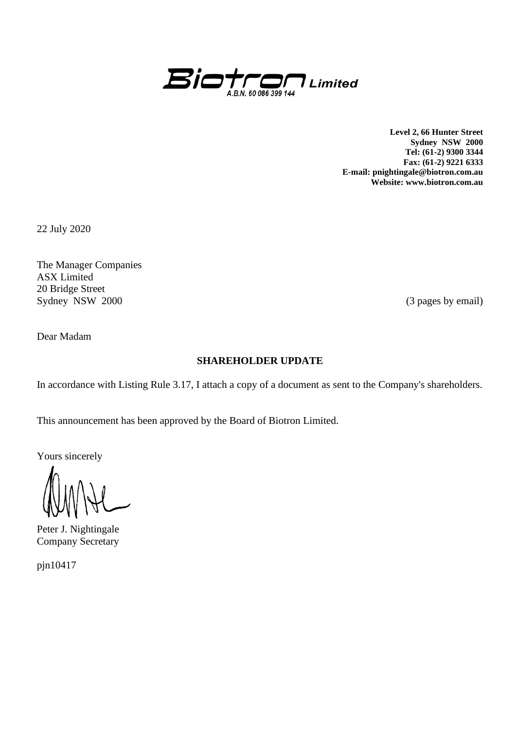

**Level 2, 66 Hunter Street Sydney NSW 2000 Tel: (61-2) 9300 3344 Fax: (61-2) 9221 6333 E-mail: pnightingale@biotron.com.au Website: www.biotron.com.au**

22 July 2020

The Manager Companies ASX Limited 20 Bridge Street Sydney NSW 2000 (3 pages by email)

Dear Madam

## **SHAREHOLDER UPDATE**

In accordance with Listing Rule 3.17, I attach a copy of a document as sent to the Company's shareholders.

This announcement has been approved by the Board of Biotron Limited.

Yours sincerely

Peter J. Nightingale Company Secretary

pjn10417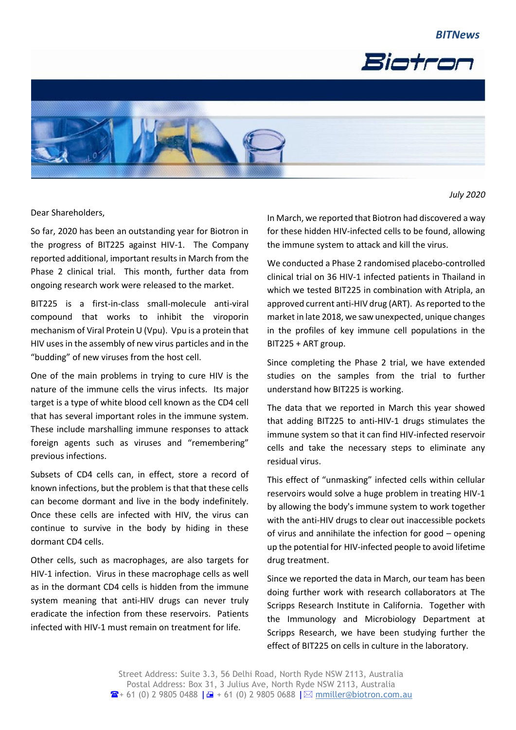



Dear Shareholders,

So far, 2020 has been an outstanding year for Biotron in the progress of BIT225 against HIV-1. The Company reported additional, important results in March from the Phase 2 clinical trial. This month, further data from ongoing research work were released to the market.

BIT225 is a first-in-class small-molecule anti-viral compound that works to inhibit the viroporin mechanism of Viral Protein U (Vpu). Vpu is a protein that HIV uses in the assembly of new virus particles and in the "budding" of new viruses from the host cell.

One of the main problems in trying to cure HIV is the nature of the immune cells the virus infects. Its major target is a type of white blood cell known as the CD4 cell that has several important roles in the immune system. These include marshalling immune responses to attack foreign agents such as viruses and "remembering" previous infections.

Subsets of CD4 cells can, in effect, store a record of known infections, but the problem is that that these cells can become dormant and live in the body indefinitely. Once these cells are infected with HIV, the virus can continue to survive in the body by hiding in these dormant CD4 cells.

Other cells, such as macrophages, are also targets for HIV-1 infection. Virus in these macrophage cells as well as in the dormant CD4 cells is hidden from the immune system meaning that anti-HIV drugs can never truly eradicate the infection from these reservoirs. Patients infected with HIV-1 must remain on treatment for life.

In March, we reported that Biotron had discovered a way for these hidden HIV-infected cells to be found, allowing the immune system to attack and kill the virus.

We conducted a Phase 2 randomised placebo-controlled clinical trial on 36 HIV-1 infected patients in Thailand in which we tested BIT225 in combination with Atripla, an approved current anti-HIV drug (ART). As reported to the market in late 2018, we saw unexpected, unique changes in the profiles of key immune cell populations in the BIT225 + ART group.

Since completing the Phase 2 trial, we have extended studies on the samples from the trial to further understand how BIT225 is working.

The data that we reported in March this year showed that adding BIT225 to anti-HIV-1 drugs stimulates the immune system so that it can find HIV-infected reservoir cells and take the necessary steps to eliminate any residual virus.

This effect of "unmasking" infected cells within cellular reservoirs would solve a huge problem in treating HIV-1 by allowing the body's immune system to work together with the anti-HIV drugs to clear out inaccessible pockets of virus and annihilate the infection for good – opening up the potential for HIV-infected people to avoid lifetime drug treatment.

Since we reported the data in March, our team has been doing further work with research collaborators at The Scripps Research Institute in California. Together with the Immunology and Microbiology Department at Scripps Research, we have been studying further the effect of BIT225 on cells in culture in the laboratory.

 *July 2020*